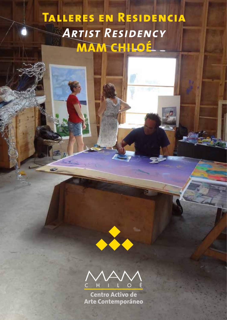# **Talleres en Residencia** *Artist Residency* **MAM CHILOÉ**





**Centro Activo de** Arte Contemporáneo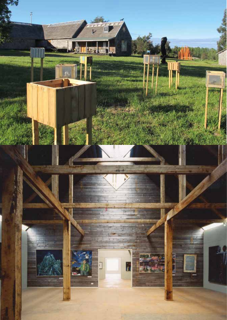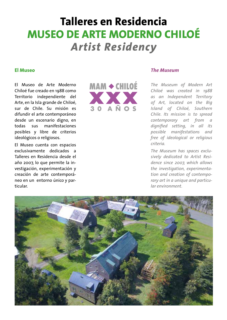## **Talleres en Residencia MUSEO DE ARTE MODERNO CHILOÉ** *Artist Residency*

#### **El Museo**

El Museo de Arte Moderno Chiloé fue creado en 1988 como Territorio independiente del Arte, en la Isla grande de Chiloé, sur de Chile. Su misión es difundir el arte contemporáneo desde un escenario digno, en todas sus manifestaciones posibles y libre de criterios ideológicos o religiosos.

El Museo cuenta con espacios exclusivamente dedicados a Talleres en Residencia desde el año 2007, lo que permite la investigación, experimentación y creación de arte contemporáneo en un entorno único y particular.



#### *The Museum*

*The Museum of Modern Art Chiloé was created in 1988 as an Independent Territory of Art, located on the Big Island of Chiloé, Southern Chile. Its mission is to spread contemporary art from a dignified setting, in all its possible manifestations and free of ideological or religious criteria.*

*The Museum has spaces exclusively dedicated to Artist Residence since 2007, which allows the investigation, experimentation and creation of contemporary art in a unique and particular environment.*

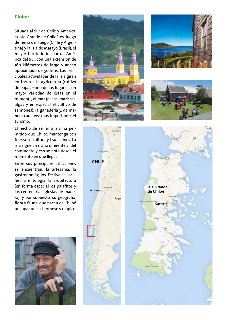#### **Chiloé**

Situada al Sur de Chile y América, la Isla Grande de Chiloé es, luego de Tierra del Fuego (Chile y Argen tina) y la isla de Marayó (Brasil), el mayor territorio insular de Amé rica del Sur, con una extensión de 180 kilómetros de largo y ancho aproximado de 50 kms. Las prin cipales actividades de la isla giran en torno a la agricultura (cultivo de papas –uno de los lugares con mayor variedad de éstas en el mundo)–, el mar (pesca, mariscos, algas y en especial el cultivo de salmones), la ganadería y, de ma nera cada vez más importante, el turismo.

El hecho de ser una isla ha per mitido que Chiloé mantenga con fuerza su cultura y tradiciones. La isla sigue un ritmo diferente al del continente y eso se nota desde el momento en que llegas.

Entre sus principales atracciones se encuentran: la artesanía; la gastronomía; los Festivales loca les; la mitología, la arquitectura (en forma especial los palafitos y las centenarias iglesias de made ra), y por supuesto, su geografía, flora y fauna, que hacen de Chiloé un lugar único, hermoso y mágico.









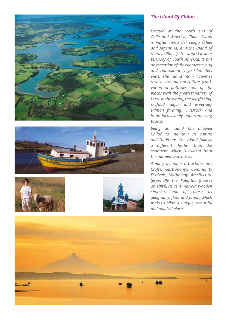







#### *The Island Of Chiloé*

*Located at the South end of Chile and America, Chiloé Island is –after Tierra del Fuego (Chile and Argentina) and the island of Marayó (Brazil)– the largest insular territory of South America. It has an extension of 180 kilometers long and approximately 50 kilometers wide. The island main activities revolve around agriculture (cultivation of potatoes -one of the places with the greatest variety of these in the world), the sea (fishing, seafood, algae and especially salmon farming), livestock, and in an increasingly important way, tourism.*

*Being an island has allowed Chiloé to maintain its culture and traditions. The island follows a different rhythm than the continent, which is evident from the moment you arrive.*

*Among its main attractions are: Crafts; Gastronomy; Community Festivals; Mythology, Architecture (especially the Palafitos (houses on stilts), its centuries-old wooden churches, and of course, its geography, flora and fauna, which makes Chiloé a unique, beautiful and magical place.*

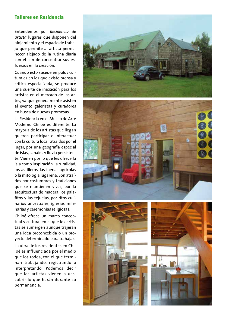#### **Talleres en Residencia**

Entendemos por *Residencia de artista* lugares que disponen del alojamiento y el espacio de trabajo que permite al artista permanecer alejado de la rutina diaria con el fin de concentrar sus esfuerzos en la creación.

Cuando esto sucede en polos culturales en los que existe prensa y crítica especializada, se produce una suerte de iniciación para los artistas en el mercado de las artes, ya que generalmente asisten al evento galeristas y curadores en busca de nuevas promesas.

La Residencia en el Museo de Arte Moderno Chiloé es diferente. La mayoría de los artistas que llegan quieren participar e interactuar con la cultura local, atraídos por el lugar, por una geografía especial de islas, canales y lluvia persistente. Vienen por lo que les ofrece la isla como inspiración: la ruralidad, los astilleros, las faenas agrícolas o la mitología lugareña. Son atraídos por costumbres y tradiciones que se mantienen vivas, por la arquitectura de madera, los palafitos y las tejuelas, por ritos culinarios ancestrales, iglesias milenarias y ceremonias religiosas.

Chiloé ofrece un marco conceptual y cultural en el que los artistas se sumergen aunque trajeran una idea preconcebida o un proyecto determinado para trabajar.

La obra de los residentes en Chiloé es influenciada por el medio que los rodea, con el que terminan trabajando, registrando o interpretando. Podemos decir que los artistas vienen a descubrir lo que harán durante su permanencia.

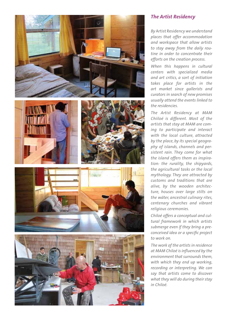

#### *The Artist Residency*

*By* Artist Residency *we understand places that offer accommodation and workspace that allow artists to stay away from the daily routine in order to concentrate their efforts on the creation process.*

*When this happens in cultural centers with specialized media and art critics, a sort of initiation takes place for artists in the art market since gallerists and curators in search of new promises usually attend the events linked to the residencies.*

*The Artist Residency at MAM Chiiloé is different. Most of the artists that stay at MAM are coming to participate and interact with the local culture, attracted by the place, by its special geography of islands, channels and persistent rain. They come for what the island offers them as inspiration: the rurality, the shipyards, the agricultural tasks or the local mythology. They are attracted by customs and traditions that are alive, by the wooden architecture, houses over large stilts on the wáter, ancestral culinary rites, centenary churches and vibrant religious ceremonies.*

*Chiloé offers a conceptual and cultural framework in which artists submerge even if they bring a preconceived idea or a specific project to work on.*

*The work of the artists in residence at MAM Chiloé is influenced by the environment that surrounds them, with which they end up working, recording or interpreting. We can say that artists come to discover what they will do during their stay in Chiloé.*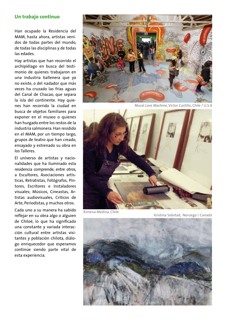#### **Un trabajo continuo**

Han ocupado la Residencia del MAM, hasta ahora, artistas venidos de todas partes del mundo, de todas las disciplinas y de todas las edades.

Hay artistas que han recorrido el archipiélago en busca del testimonio de quienes trabajaron en una industria ballenera que ya no existe, o del nadador que más veces ha cruzado las frías aguas del Canal de Chacao, que separa la isla del continente. Hay quienes han recorrido la ciudad en busca de objetos familiares para exponer en el museo o quienes han hurgado entre los restos de la industria salmonera. Han residido en el MAM, por un tiempo largo, grupos de teatro que han creado, ensayado y estrenado su obra en los Talleres.

El universo de artistas y nacionalidades que ha iluminado esta residencia comprende, entre otros, a Escultores, Asociaciones artísticas, Retratistas, Fotógrafos, Pintores, Escritores e Instaladores visuales; Músicos, Cineastas, Artistas audiovisuales, Críticos de Arte, Periodistas, y muchos otros.

Cada uno a su manera ha sabido reflejar en su obra algo o alguien de Chiloé, lo que ha significado una constante y variada interacción cultural entre artistas visitantes y población chilota, diálogo enriquecedor que esperamos continúe siendo parte vital de esta experiencia.



Mural *Love Machine*, Víctor Castillo, Chile / U.S.A



Ximena Medina, Chile Kristina Sobstad, Noruega / Canadá

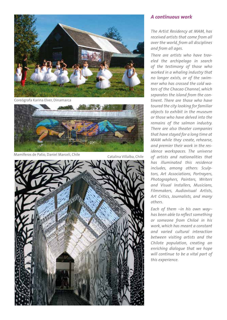

Coreógrafa Karina Elver, Dinamarca





#### *A continuous work*

*The Artist Residency at MAM, has received artists that come from all over the world, from all disciplines and from all ages.*

*There are artists who have traveled the archipelago in search of the testimony of those who worked in a whaling industry that no longer exists, or of the swimmer who has crossed the cold waters of the Chacao Channel, which separates the island from the continent. There are those who have toured the city looking for familiar objects to exhibit in the museum or those who have delved into the remains of the salmon industry. There are also theater companies that have stayed for a long time at MAM while they create, rehearse, and premier their work in the residence workspaces. The universe of artists and nationalities that has illuminated this residence includes, among others: Sculptors, Art Associations, Portrayers, Photographers, Painters, Writers and Visual Installers, Musicians, Filmmakers, Audiovisual Artists, Art Critics, Journalists, and many others.*

*Each of them –in his own way– has been able to reflect something or someone from Chiloé in his work, which has meant a constant and varied cultural interaction between visiting artists and the Chilote population, creating an enriching dialogue that we hope will continue to be a vital part of this experience.*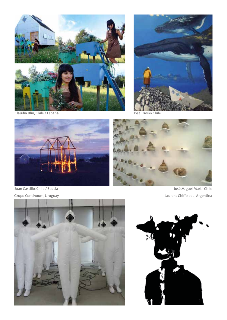

Claudia Blin, Chile / España José Triviño Chile







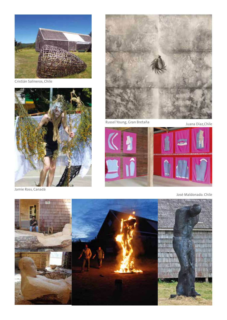

Cristián Salineros, Chile



Jamie Ross, Canadá



Russel Young, Gran Bretaña Juana Díaz, Chile



José Maldonado. Chile